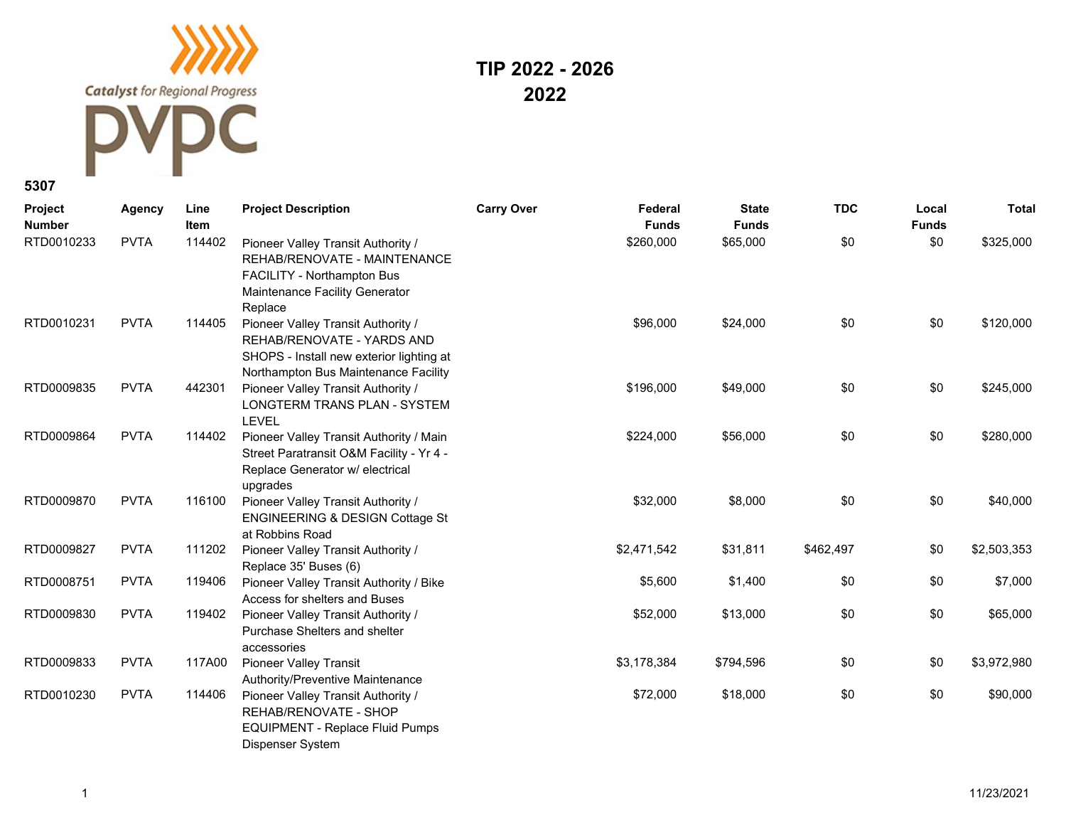**Catalyst** for Regional Progress C

## **TIP 2022 - 2026 2022**

## **5307**

| Project<br><b>Number</b> | Agency      | Line<br><b>Item</b> | <b>Project Description</b>                                                                                                                           | <b>Carry Over</b> | Federal<br><b>Funds</b> | <b>State</b><br><b>Funds</b> | <b>TDC</b> | Local<br><b>Funds</b> | <b>Total</b> |
|--------------------------|-------------|---------------------|------------------------------------------------------------------------------------------------------------------------------------------------------|-------------------|-------------------------|------------------------------|------------|-----------------------|--------------|
| RTD0010233               | <b>PVTA</b> | 114402              | Pioneer Valley Transit Authority /<br>REHAB/RENOVATE - MAINTENANCE<br>FACILITY - Northampton Bus<br>Maintenance Facility Generator<br>Replace        |                   | \$260,000               | \$65,000                     | \$0        | \$0                   | \$325,000    |
| RTD0010231               | <b>PVTA</b> | 114405              | Pioneer Valley Transit Authority /<br>REHAB/RENOVATE - YARDS AND<br>SHOPS - Install new exterior lighting at<br>Northampton Bus Maintenance Facility |                   | \$96,000                | \$24,000                     | \$0        | \$0                   | \$120,000    |
| RTD0009835               | <b>PVTA</b> | 442301              | Pioneer Valley Transit Authority /<br>LONGTERM TRANS PLAN - SYSTEM<br><b>LEVEL</b>                                                                   |                   | \$196,000               | \$49,000                     | \$0        | \$0                   | \$245,000    |
| RTD0009864               | <b>PVTA</b> | 114402              | Pioneer Valley Transit Authority / Main<br>Street Paratransit O&M Facility - Yr 4 -<br>Replace Generator w/ electrical<br>upgrades                   |                   | \$224,000               | \$56,000                     | \$0        | \$0                   | \$280,000    |
| RTD0009870               | <b>PVTA</b> | 116100              | Pioneer Valley Transit Authority /<br><b>ENGINEERING &amp; DESIGN Cottage St</b><br>at Robbins Road                                                  |                   | \$32,000                | \$8,000                      | \$0        | \$0                   | \$40,000     |
| RTD0009827               | <b>PVTA</b> | 111202              | Pioneer Valley Transit Authority /<br>Replace 35' Buses (6)                                                                                          |                   | \$2,471,542             | \$31,811                     | \$462,497  | \$0                   | \$2,503,353  |
| RTD0008751               | <b>PVTA</b> | 119406              | Pioneer Valley Transit Authority / Bike<br>Access for shelters and Buses                                                                             |                   | \$5,600                 | \$1,400                      | \$0        | \$0                   | \$7,000      |
| RTD0009830               | <b>PVTA</b> | 119402              | Pioneer Valley Transit Authority /<br>Purchase Shelters and shelter<br>accessories                                                                   |                   | \$52,000                | \$13,000                     | \$0        | \$0                   | \$65,000     |
| RTD0009833               | <b>PVTA</b> | 117A00              | <b>Pioneer Valley Transit</b><br>Authority/Preventive Maintenance                                                                                    |                   | \$3,178,384             | \$794,596                    | \$0        | \$0                   | \$3,972,980  |
| RTD0010230               | <b>PVTA</b> | 114406              | Pioneer Valley Transit Authority /<br>REHAB/RENOVATE - SHOP<br>EQUIPMENT - Replace Fluid Pumps<br>Dispenser System                                   |                   | \$72,000                | \$18,000                     | \$0        | \$0                   | \$90,000     |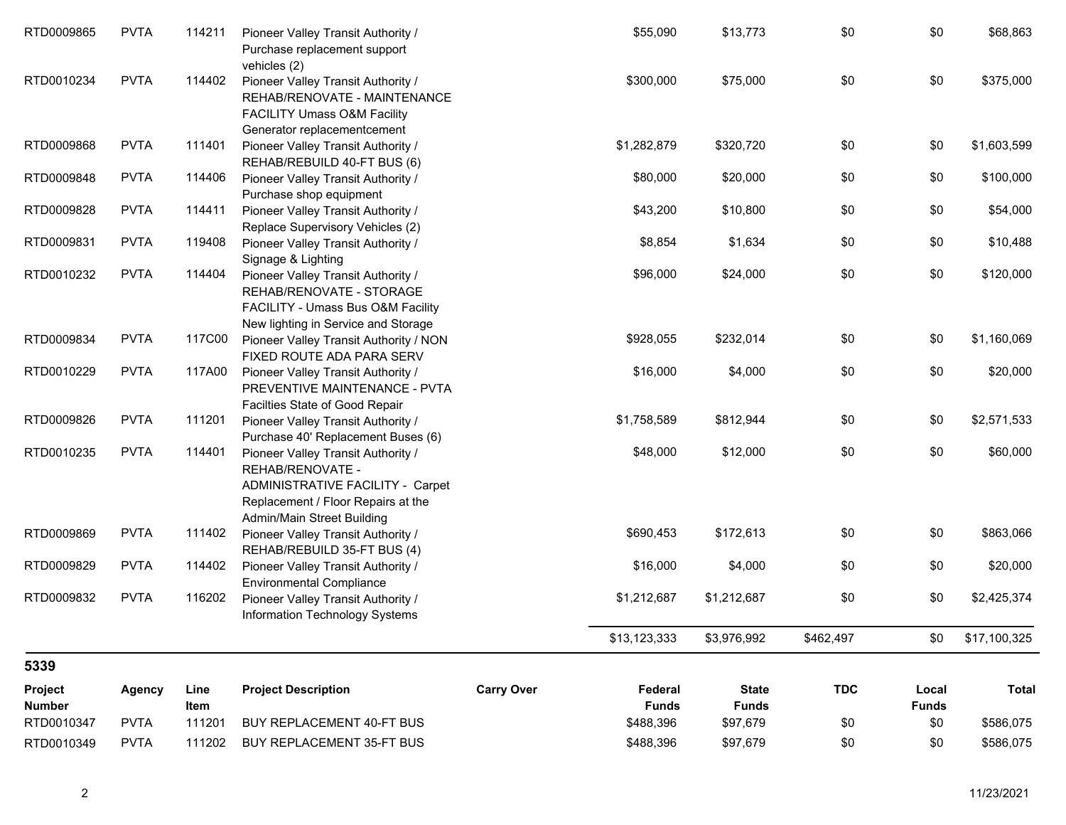| RTD0009865               | <b>PVTA</b>   | 114211       | Pioneer Valley Transit Authority /<br>Purchase replacement support<br>vehicles (2)                                                                             |                   | \$55,090                | \$13,773                     | \$0        | \$0                   | \$68,863     |
|--------------------------|---------------|--------------|----------------------------------------------------------------------------------------------------------------------------------------------------------------|-------------------|-------------------------|------------------------------|------------|-----------------------|--------------|
| RTD0010234               | <b>PVTA</b>   | 114402       | Pioneer Valley Transit Authority /<br>REHAB/RENOVATE - MAINTENANCE<br><b>FACILITY Umass O&amp;M Facility</b><br>Generator replacementcement                    |                   | \$300,000               | \$75,000                     | \$0        | \$0                   | \$375,000    |
| RTD0009868               | <b>PVTA</b>   | 111401       | Pioneer Valley Transit Authority /<br>REHAB/REBUILD 40-FT BUS (6)                                                                                              |                   | \$1,282,879             | \$320,720                    | \$0        | \$0                   | \$1,603,599  |
| RTD0009848               | <b>PVTA</b>   | 114406       | Pioneer Valley Transit Authority /<br>Purchase shop equipment                                                                                                  |                   | \$80,000                | \$20,000                     | \$0        | \$0                   | \$100,000    |
| RTD0009828               | <b>PVTA</b>   | 114411       | Pioneer Valley Transit Authority /<br>Replace Supervisory Vehicles (2)                                                                                         |                   | \$43,200                | \$10,800                     | \$0        | \$0                   | \$54,000     |
| RTD0009831               | <b>PVTA</b>   | 119408       | Pioneer Valley Transit Authority /<br>Signage & Lighting                                                                                                       |                   | \$8,854                 | \$1,634                      | \$0        | \$0                   | \$10,488     |
| RTD0010232               | <b>PVTA</b>   | 114404       | Pioneer Valley Transit Authority /<br>REHAB/RENOVATE - STORAGE<br>FACILITY - Umass Bus O&M Facility<br>New lighting in Service and Storage                     |                   | \$96,000                | \$24,000                     | \$0        | \$0                   | \$120,000    |
| RTD0009834               | <b>PVTA</b>   | 117C00       | Pioneer Valley Transit Authority / NON<br>FIXED ROUTE ADA PARA SERV                                                                                            |                   | \$928,055               | \$232,014                    | \$0        | \$0                   | \$1,160,069  |
| RTD0010229               | <b>PVTA</b>   | 117A00       | Pioneer Valley Transit Authority /<br>PREVENTIVE MAINTENANCE - PVTA<br>Facilties State of Good Repair                                                          |                   | \$16,000                | \$4,000                      | \$0        | \$0                   | \$20,000     |
| RTD0009826               | <b>PVTA</b>   | 111201       | Pioneer Valley Transit Authority /<br>Purchase 40' Replacement Buses (6)                                                                                       |                   | \$1,758,589             | \$812,944                    | \$0        | \$0                   | \$2,571,533  |
| RTD0010235               | <b>PVTA</b>   | 114401       | Pioneer Valley Transit Authority /<br>REHAB/RENOVATE -<br>ADMINISTRATIVE FACILITY - Carpet<br>Replacement / Floor Repairs at the<br>Admin/Main Street Building |                   | \$48,000                | \$12,000                     | \$0        | \$0                   | \$60,000     |
| RTD0009869               | <b>PVTA</b>   | 111402       | Pioneer Valley Transit Authority /<br>REHAB/REBUILD 35-FT BUS (4)                                                                                              |                   | \$690,453               | \$172,613                    | \$0        | \$0                   | \$863,066    |
| RTD0009829               | <b>PVTA</b>   | 114402       | Pioneer Valley Transit Authority /<br><b>Environmental Compliance</b>                                                                                          |                   | \$16,000                | \$4,000                      | \$0        | \$0                   | \$20,000     |
| RTD0009832               | <b>PVTA</b>   | 116202       | Pioneer Valley Transit Authority /<br>Information Technology Systems                                                                                           |                   | \$1,212,687             | \$1,212,687                  | \$0        | \$0                   | \$2,425,374  |
|                          |               |              |                                                                                                                                                                |                   | \$13,123,333            | \$3,976,992                  | \$462,497  | \$0                   | \$17,100,325 |
| 5339                     |               |              |                                                                                                                                                                |                   |                         |                              |            |                       |              |
| Project<br><b>Number</b> | <b>Agency</b> | Line<br>Item | <b>Project Description</b>                                                                                                                                     | <b>Carry Over</b> | Federal<br><b>Funds</b> | <b>State</b><br><b>Funds</b> | <b>TDC</b> | Local<br><b>Funds</b> | <b>Total</b> |
| RTD0010347               | <b>PVTA</b>   | 111201       | BUY REPLACEMENT 40-FT BUS                                                                                                                                      |                   | \$488,396               | \$97,679                     | \$0        | \$0                   | \$586,075    |
| RTD0010349               | <b>PVTA</b>   | 111202       | BUY REPLACEMENT 35-FT BUS                                                                                                                                      |                   | \$488,396               | \$97,679                     | \$0        | \$0                   | \$586,075    |